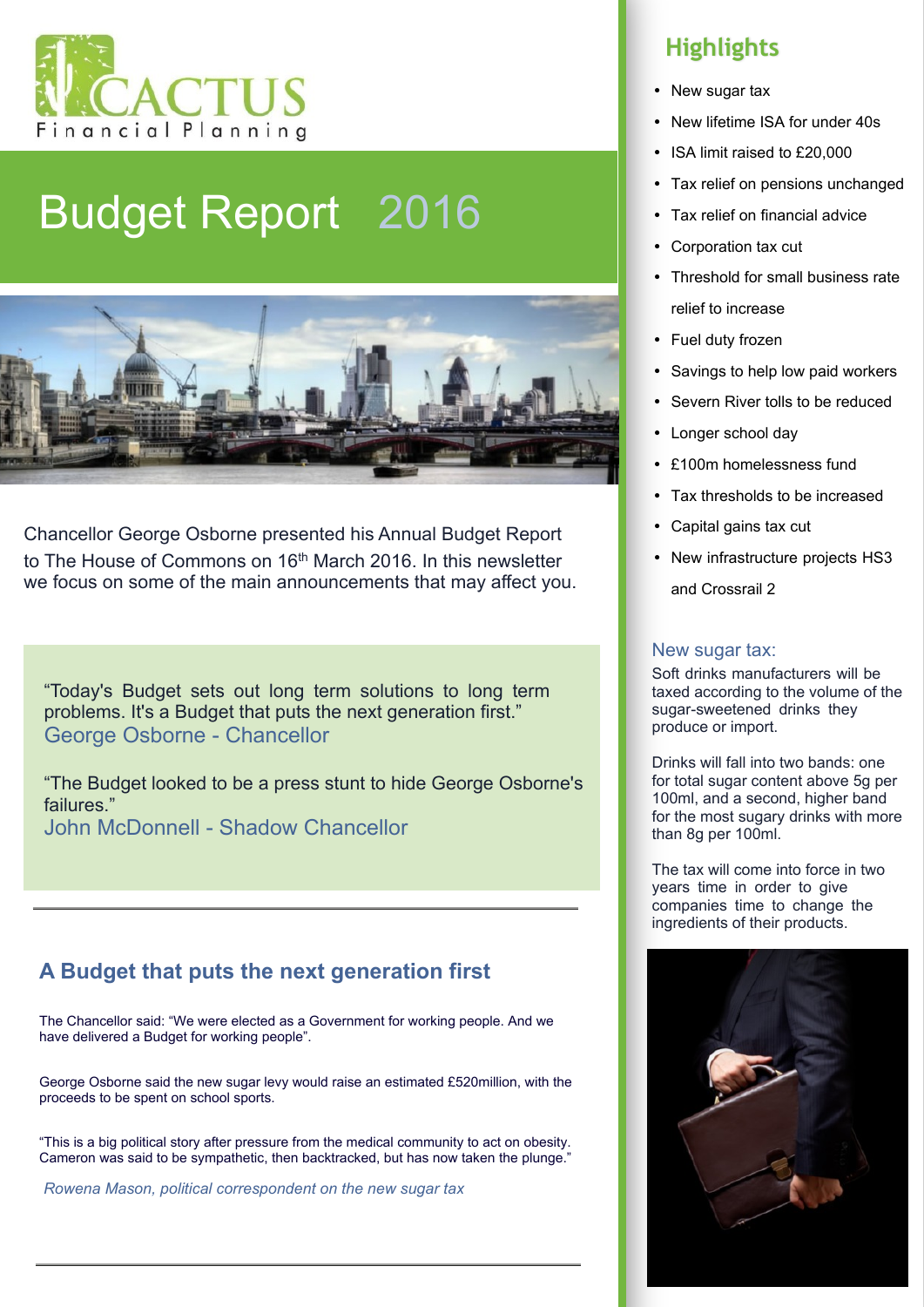

## Budget Report 2016



Chancellor George Osborne presented his Annual Budget Report to The House of Commons on 16<sup>th</sup> March 2016. In this newsletter we focus on some of the main announcements that may affect you.

"Today's Budget sets out long term solutions to long term problems. It's a Budget that puts the next generation first." George Osborne - Chancellor

"The Budget looked to be a press stunt to hide George Osborne's failures." John McDonnell - Shadow Chancellor

#### **A Budget that puts the next generation first**

The Chancellor said: "We were elected as a Government for working people. And we have delivered a Budget for working people".

George Osborne said the new sugar levy would raise an estimated £520million, with the proceeds to be spent on school sports.

"This is a big political story after pressure from the medical community to act on obesity. Cameron was said to be sympathetic, then backtracked, but has now taken the plunge."

*Rowena Mason, political correspondent on the new sugar tax*

### **Highlights**

- New sugar tax
- New lifetime ISA for under 40s
- ISA limit raised to £20,000
- Tax relief on pensions unchanged
- Tax relief on financial advice
- Corporation tax cut
- Threshold for small business rate relief to increase
- Fuel duty frozen
- Savings to help low paid workers
- Severn River tolls to be reduced
- Longer school day
- £100m homelessness fund
- Tax thresholds to be increased
- Capital gains tax cut
- New infrastructure projects HS3

and Crossrail 2

#### New sugar tax:

Soft drinks manufacturers will be taxed according to the volume of the sugar-sweetened drinks they produce or import.

Drinks will fall into two bands: one for total sugar content above 5g per 100ml, and a second, higher band for the most sugary drinks with more than 8g per 100ml.

The tax will come into force in two years time in order to give companies time to change the ingredients of their products.

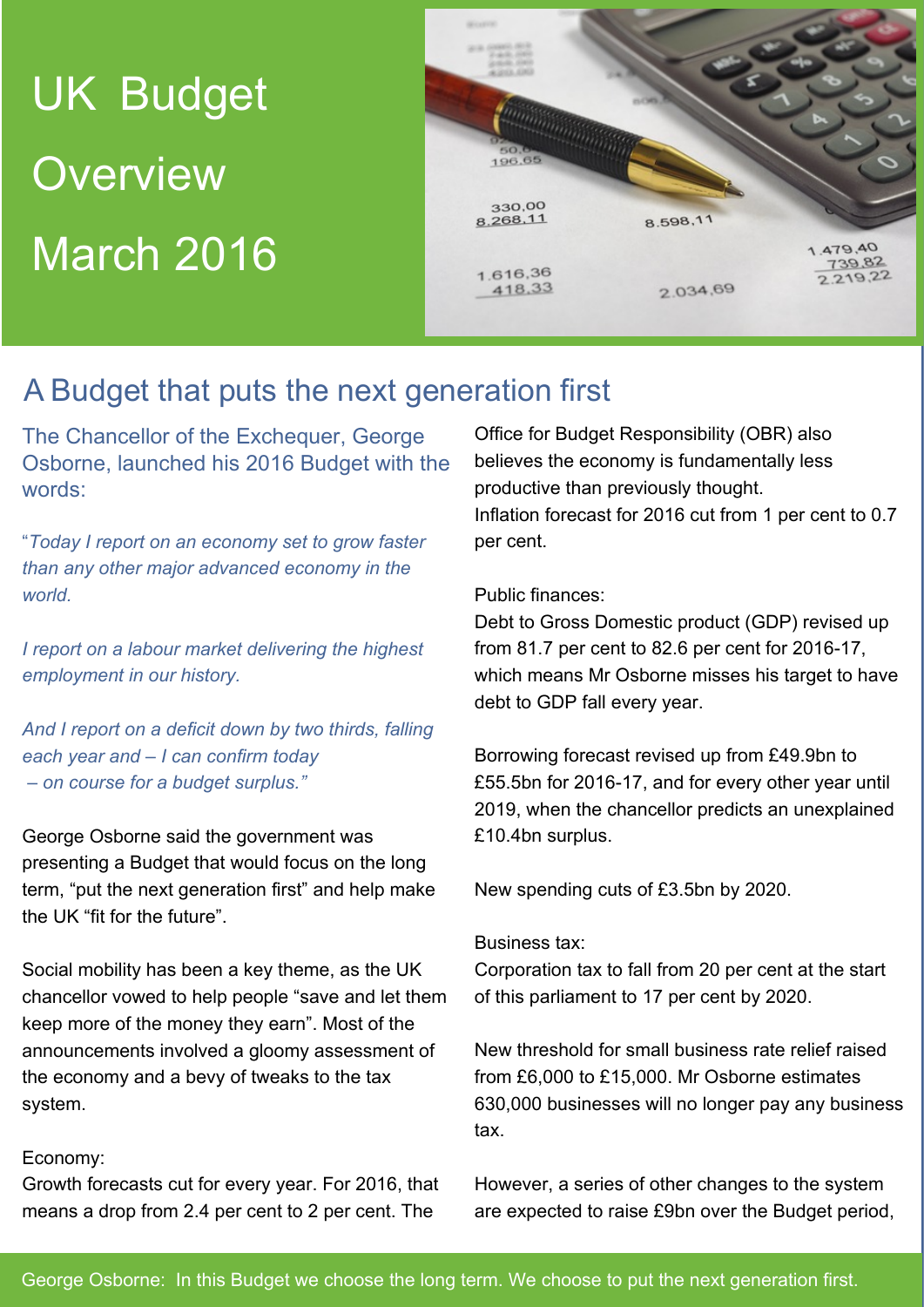# UK Budget **Overview** March 2016



### A Budget that puts the next generation first

The Chancellor of the Exchequer, George Osborne, launched his 2016 Budget with the words:

"*Today I report on an economy set to grow faster than any other major advanced economy in the world.*

*I report on a labour market delivering the highest employment in our history.*

*And I report on a deficit down by two thirds, falling each year and – I can confirm today – on course for a budget surplus."*

George Osborne said the government was presenting a Budget that would focus on the long term, "put the next generation first" and help make the UK "fit for the future".

Social mobility has been a key theme, as the UK chancellor vowed to help people "save and let them keep more of the money they earn". Most of the announcements involved a gloomy assessment of the economy and a bevy of tweaks to the tax system.

#### Economy:

Growth forecasts cut for every year. For 2016, that means a drop from 2.4 per cent to 2 per cent. The

Office for Budget Responsibility (OBR) also believes the economy is fundamentally less productive than previously thought. Inflation forecast for 2016 cut from 1 per cent to 0.7 per cent.

#### Public finances:

Debt to Gross Domestic product (GDP) revised up from 81.7 per cent to 82.6 per cent for 2016-17, which means Mr Osborne misses his target to have debt to GDP fall every year.

Borrowing forecast revised up from £49.9bn to £55.5bn for 2016-17, and for every other year until 2019, when the chancellor predicts an unexplained £10.4bn surplus.

New spending cuts of £3.5bn by 2020.

#### Business tax:

Corporation tax to fall from 20 per cent at the start of this parliament to 17 per cent by 2020.

New threshold for small business rate relief raised from £6,000 to £15,000. Mr Osborne estimates 630,000 businesses will no longer pay any business tax.

However, a series of other changes to the system are expected to raise £9bn over the Budget period,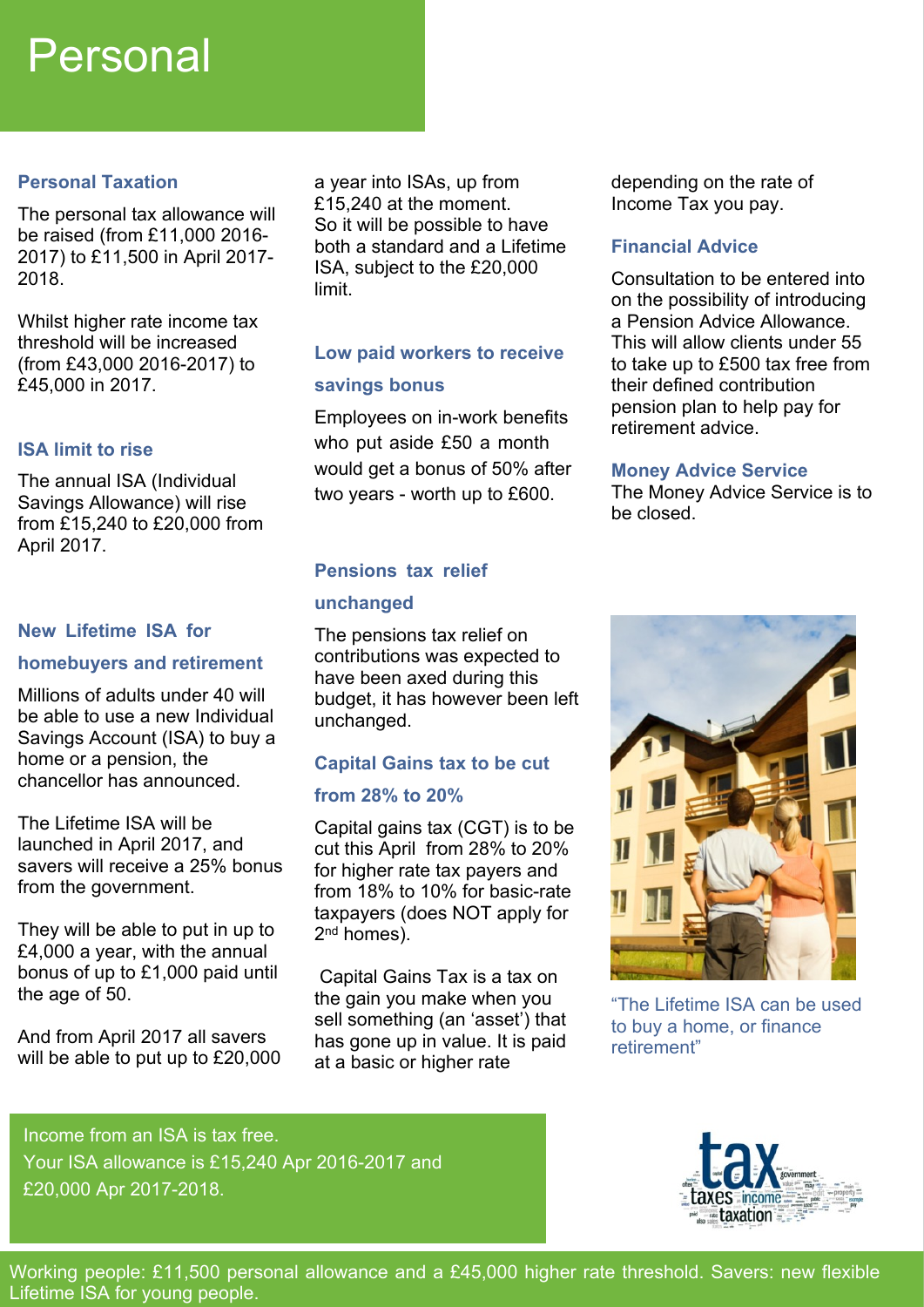### Personal

#### **Personal Taxation**

The personal tax allowance will be raised (from £11,000 2016- 2017) to £11,500 in April 2017- 2018.

Whilst higher rate income tax threshold will be increased (from £43,000 2016-2017) to £45,000 in 2017.

#### **ISA limit to rise**

The annual ISA (Individual Savings Allowance) will rise from £15,240 to £20,000 from April 2017.

#### **New Lifetime ISA for**

#### **homebuyers and retirement**

Millions of adults under 40 will be able to use a new Individual Savings Account (ISA) to buy a home or a pension, the chancellor has announced.

The Lifetime ISA will be launched in April 2017, and savers will receive a 25% bonus from the government.

They will be able to put in up to £4,000 a year, with the annual bonus of up to £1,000 paid until the age of 50.

And from April 2017 all savers will be able to put up to £20,000 a year into ISAs, up from £15,240 at the moment. So it will be possible to have both a standard and a Lifetime ISA, subject to the £20,000 limit.

### **Low paid workers to receive**

#### **savings bonus**

Employees on in-work benefits who put aside £50 a month would get a bonus of 50% after two years - worth up to £600.

#### **Pensions tax relief**

#### **unchanged**

The pensions tax relief on contributions was expected to have been axed during this budget, it has however been left unchanged.

### **Capital Gains tax to be cut**

#### **from 28% to 20%**

Capital gains tax (CGT) is to be cut this April from 28% to 20% for higher rate tax payers and from 18% to 10% for basic-rate taxpayers (does NOT apply for 2<sup>nd</sup> homes).

 Capital Gains Tax is a tax on the gain you make when you sell something (an 'asset') that has gone up in value. It is paid at a basic or higher rate

depending on the rate of Income Tax you pay.

#### **Financial Advice**

Consultation to be entered into on the possibility of introducing a Pension Advice Allowance. This will allow clients under 55 to take up to £500 tax free from their defined contribution pension plan to help pay for retirement advice.

#### **Money Advice Service**

The Money Advice Service is to be closed.



"The Lifetime ISA can be used to buy a home, or finance retirement"

Income from an ISA is tax free. Your ISA allowance is £15,240 Apr 2016-2017 and £20,000 Apr 2017-2018.



Working people: £11,500 personal allowance and a £45,000 higher rate threshold. Savers: new flexible Lifetime ISA for young people.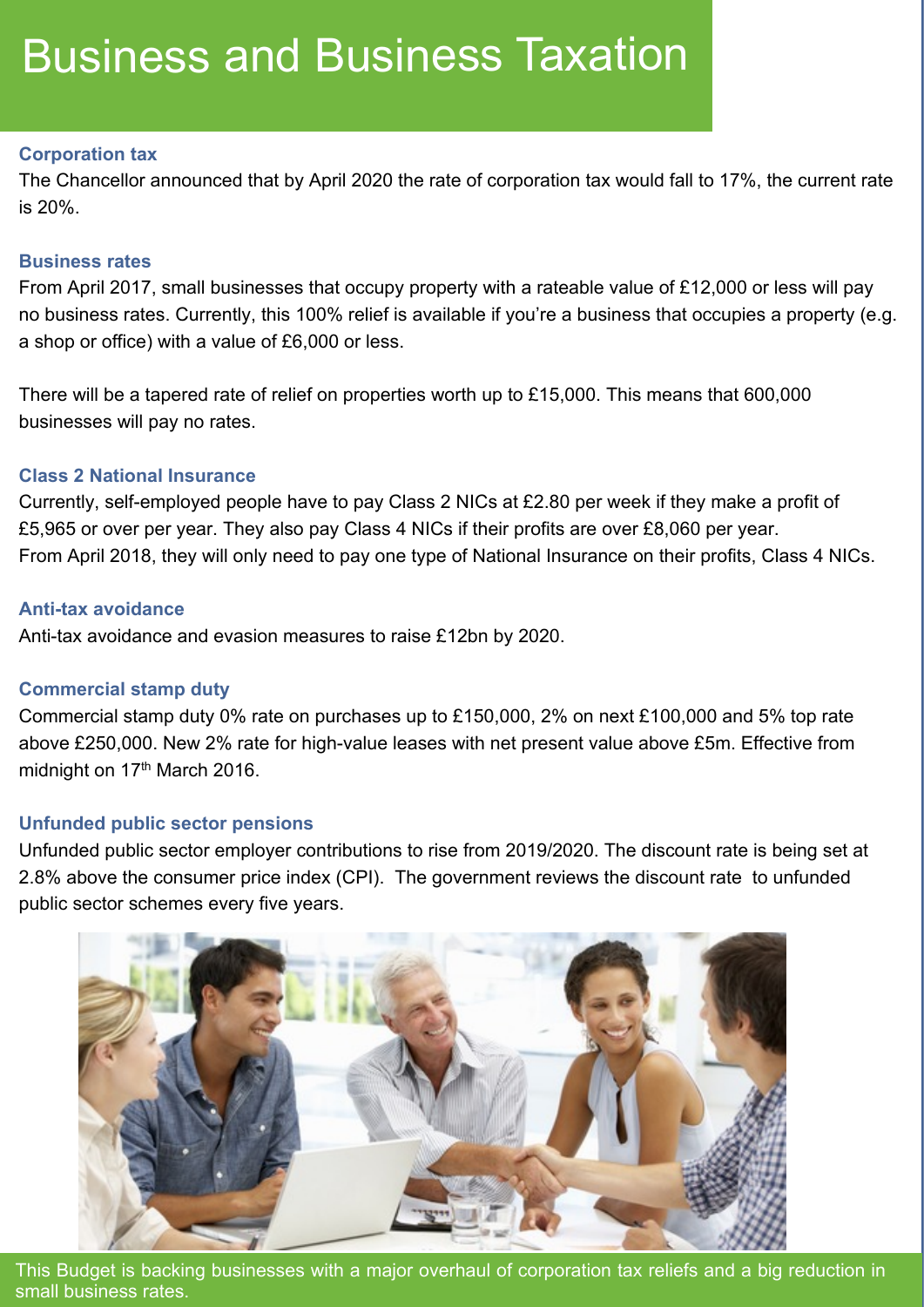## Business and Business Taxation

#### **Corporation tax**

The Chancellor announced that by April 2020 the rate of corporation tax would fall to 17%, the current rate is 20%.

#### **Business rates**

From April 2017, small businesses that occupy property with a rateable value of £12,000 or less will pay no business rates. Currently, this 100% relief is available if you're a business that occupies a property (e.g. a shop or office) with a value of £6,000 or less.

There will be a tapered rate of relief on properties worth up to £15,000. This means that 600,000 businesses will pay no rates.

#### **Class 2 National Insurance**

Currently, self-employed people have to pay Class 2 NICs at £2.80 per week if they make a profit of £5,965 or over per year. They also pay Class 4 NICs if their profits are over £8,060 per year. From April 2018, they will only need to pay one type of National Insurance on their profits, Class 4 NICs.

#### **Anti-tax avoidance**

Anti-tax avoidance and evasion measures to raise £12bn by 2020.

#### **Commercial stamp duty**

Commercial stamp duty 0% rate on purchases up to £150,000, 2% on next £100,000 and 5% top rate above £250,000. New 2% rate for high-value leases with net present value above £5m. Effective from midnight on 17<sup>th</sup> March 2016.

#### **Unfunded public sector pensions**

Unfunded public sector employer contributions to rise from 2019/2020. The discount rate is being set at 2.8% above the consumer price index (CPI). The government reviews the discount rate to unfunded public sector schemes every five years.



This Budget is backing businesses with a major overhaul of corporation tax reliefs and a big reduction in small business rates.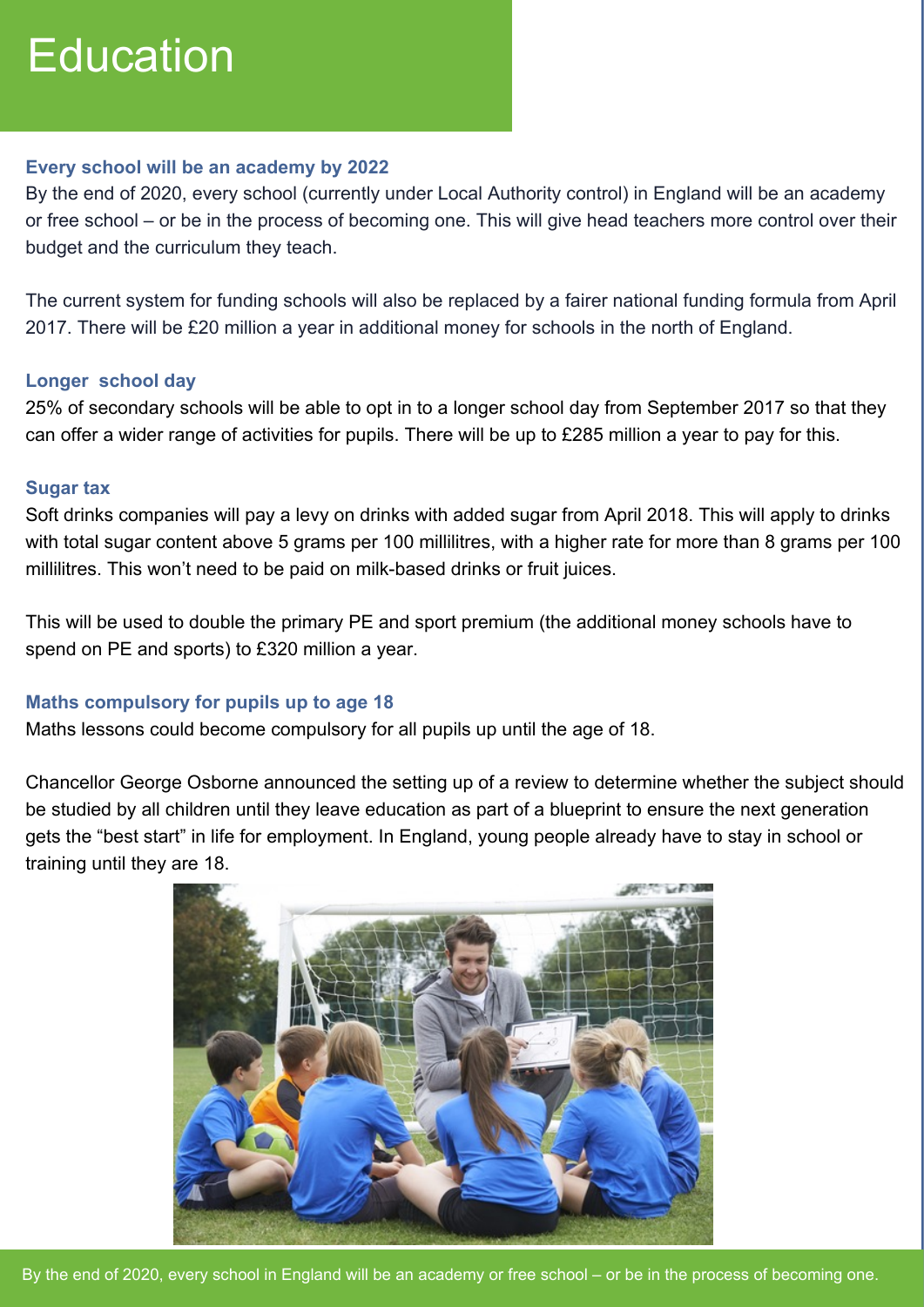## **Education**

#### **Every school will be an academy by 2022**

By the end of 2020, every school (currently under Local Authority control) in England will be an academy or free school – or be in the process of becoming one. This will give head teachers more control over their budget and the curriculum they teach.

The current system for funding schools will also be replaced by a fairer national funding formula from April 2017. There will be £20 million a year in additional money for schools in the north of England.

#### **Longer school day**

25% of secondary schools will be able to opt in to a longer school day from September 2017 so that they can offer a wider range of activities for pupils. There will be up to £285 million a year to pay for this.

#### **Sugar tax**

Soft drinks companies will pay a levy on drinks with added sugar from April 2018. This will apply to drinks with total sugar content above 5 grams per 100 millilitres, with a higher rate for more than 8 grams per 100 millilitres. This won't need to be paid on milk-based drinks or fruit juices.

This will be used to double the primary PE and sport premium (the additional money schools have to spend on PE and sports) to £320 million a year.

#### **Maths compulsory for pupils up to age 18**

Maths lessons could become compulsory for all pupils up until the age of 18.

Chancellor George Osborne announced the setting up of a review to determine whether the subject should be studied by all children until they leave education as part of a blueprint to ensure the next generation gets the "best start" in life for employment. In England, young people already have to stay in school or training until they are 18.

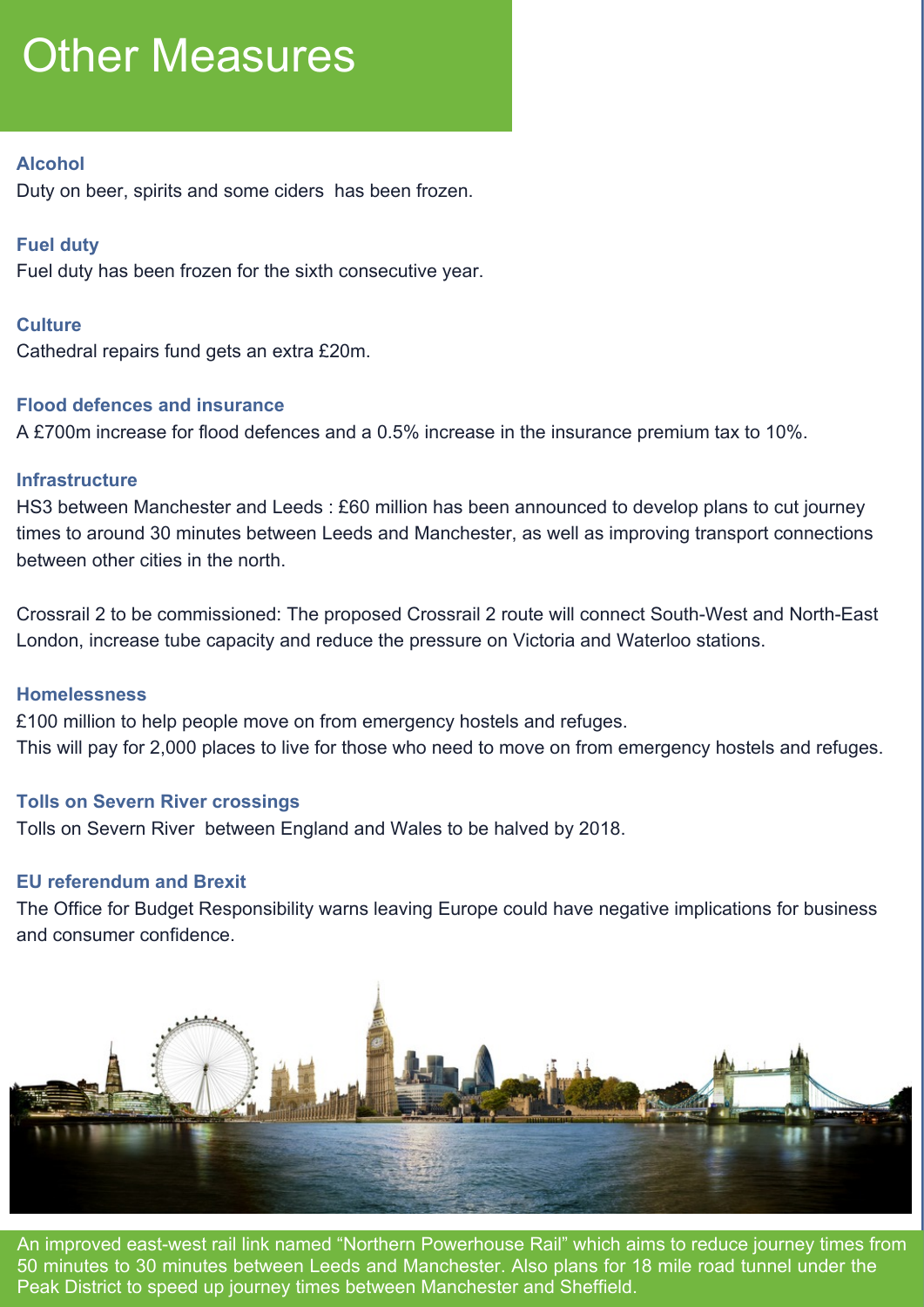## **Other Measures**

#### **Alcohol**

Duty on beer, spirits and some ciders has been frozen.

#### **Fuel duty**

Fuel duty has been frozen for the sixth consecutive year.

#### **Culture**

Cathedral repairs fund gets an extra £20m.

#### **Flood defences and insurance**

A £700m increase for flood defences and a 0.5% increase in the insurance premium tax to 10%.

#### **Infrastructure**

HS3 between Manchester and Leeds : £60 million has been announced to develop plans to cut journey times to around 30 minutes between Leeds and Manchester, as well as improving transport connections between other cities in the north.

Crossrail 2 to be commissioned: The proposed Crossrail 2 route will connect South-West and North-East London, increase tube capacity and reduce the pressure on Victoria and Waterloo stations.

#### **Homelessness**

£100 million to help people move on from emergency hostels and refuges. This will pay for 2,000 places to live for those who need to move on from emergency hostels and refuges.

#### **Tolls on Severn River crossings**

Tolls on Severn River between England and Wales to be halved by 2018.

#### **EU referendum and Brexit**

The Office for Budget Responsibility warns leaving Europe could have negative implications for business and consumer confidence.



An improved east-west rail link named "Northern Powerhouse Rail" which aims to reduce journey times from 50 minutes to 30 minutes between Leeds and Manchester. Also plans for 18 mile road tunnel under the Peak District to speed up journey times between Manchester and Sheffield.